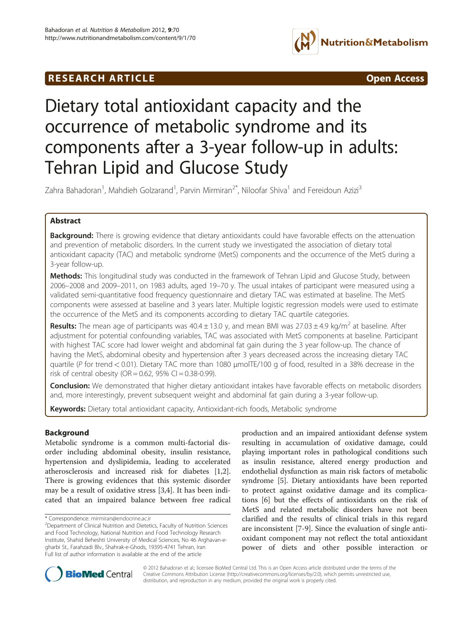

# **RESEARCH ARTICLE Example 2014 CONSIDERING CONSIDERING CONSIDERING CONSIDERING CONSIDERING CONSIDERING CONSIDERING CONSIDERING CONSIDERING CONSIDERING CONSIDERING CONSIDERING CONSIDERING CONSIDERING CONSIDERING CONSIDE**



# Dietary total antioxidant capacity and the occurrence of metabolic syndrome and its components after a 3-year follow-up in adults: Tehran Lipid and Glucose Study

Zahra Bahadoran<sup>1</sup>, Mahdieh Golzarand<sup>1</sup>, Parvin Mirmiran<sup>2\*</sup>, Niloofar Shiva<sup>1</sup> and Fereidoun Azizi<sup>3</sup>

# Abstract

Background: There is growing evidence that dietary antioxidants could have favorable effects on the attenuation and prevention of metabolic disorders. In the current study we investigated the association of dietary total antioxidant capacity (TAC) and metabolic syndrome (MetS) components and the occurrence of the MetS during a 3-year follow-up.

Methods: This longitudinal study was conducted in the framework of Tehran Lipid and Glucose Study, between 2006–2008 and 2009–2011, on 1983 adults, aged 19–70 y. The usual intakes of participant were measured using a validated semi-quantitative food frequency questionnaire and dietary TAC was estimated at baseline. The MetS components were assessed at baseline and 3 years later. Multiple logistic regression models were used to estimate the occurrence of the MetS and its components according to dietary TAC quartile categories.

**Results:** The mean age of participants was  $40.4 \pm 13.0$  y, and mean BMI was  $27.03 \pm 4.9$  kg/m<sup>2</sup> at baseline. After adjustment for potential confounding variables, TAC was associated with MetS components at baseline. Participant with highest TAC score had lower weight and abdominal fat gain during the 3 year follow-up. The chance of having the MetS, abdominal obesity and hypertension after 3 years decreased across the increasing dietary TAC quartile (P for trend < 0.01). Dietary TAC more than 1080 μmolTE/100 g of food, resulted in a 38% decrease in the risk of central obesity (OR =  $0.62$ , 95% CI =  $0.38 - 0.99$ ).

Conclusion: We demonstrated that higher dietary antioxidant intakes have favorable effects on metabolic disorders and, more interestingly, prevent subsequent weight and abdominal fat gain during a 3-year follow-up.

Keywords: Dietary total antioxidant capacity, Antioxidant-rich foods, Metabolic syndrome

# Background

Metabolic syndrome is a common multi-factorial disorder including abdominal obesity, insulin resistance, hypertension and dyslipidemia, leading to accelerated atherosclerosis and increased risk for diabetes [\[1,2](#page-7-0)]. There is growing evidences that this systemic disorder may be a result of oxidative stress [\[3,4](#page-7-0)]. It has been indicated that an impaired balance between free radical

production and an impaired antioxidant defense system resulting in accumulation of oxidative damage, could playing important roles in pathological conditions such as insulin resistance, altered energy production and endothelial dysfunction as main risk factors of metabolic syndrome [[5\]](#page-7-0). Dietary antioxidants have been reported to protect against oxidative damage and its complications [[6](#page-7-0)] but the effects of antioxidants on the risk of MetS and related metabolic disorders have not been clarified and the results of clinical trials in this regard are inconsistent [\[7](#page-7-0)-[9\]](#page-7-0). Since the evaluation of single antioxidant component may not reflect the total antioxidant power of diets and other possible interaction or



© 2012 Bahadoran et al.; licensee BioMed Central Ltd. This is an Open Access article distributed under the terms of the Creative Commons Attribution License (<http://creativecommons.org/licenses/by/2.0>), which permits unrestricted use, distribution, and reproduction in any medium, provided the original work is properly cited.

<sup>\*</sup> Correspondence: [mirmiran@endocrine.ac.ir](mailto:mirmiran@endocrine.ac.ir) <sup>2</sup>

<sup>&</sup>lt;sup>2</sup>Department of Clinical Nutrition and Dietetics, Faculty of Nutrition Sciences and Food Technology, National Nutrition and Food Technology Research Institute, Shahid Beheshti University of Medical Sciences, No 46 Arghavan-egharbi St., Farahzadi Blv., Shahrak-e-Ghods, 19395-4741 Tehran, Iran Full list of author information is available at the end of the article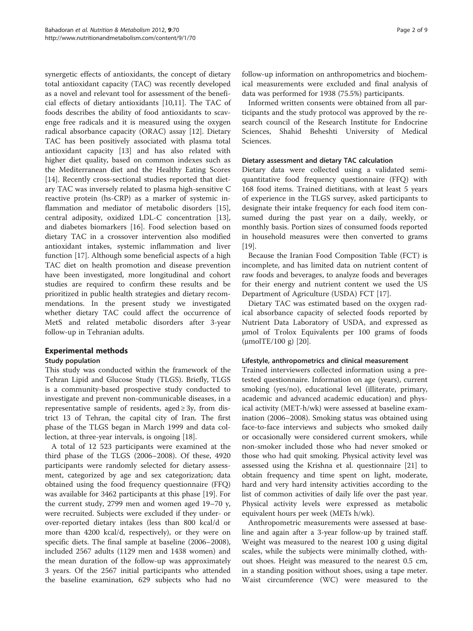synergetic effects of antioxidants, the concept of dietary total antioxidant capacity (TAC) was recently developed as a novel and relevant tool for assessment of the beneficial effects of dietary antioxidants [\[10,11](#page-7-0)]. The TAC of foods describes the ability of food antioxidants to scavenge free radicals and it is measured using the oxygen radical absorbance capacity (ORAC) assay [[12](#page-7-0)]. Dietary TAC has been positively associated with plasma total antioxidant capacity [[13\]](#page-7-0) and has also related with higher diet quality, based on common indexes such as the Mediterranean diet and the Healthy Eating Scores [[14\]](#page-7-0). Recently cross-sectional studies reported that dietary TAC was inversely related to plasma high-sensitive C reactive protein (hs-CRP) as a marker of systemic inflammation and mediator of metabolic disorders [\[15](#page-7-0)], central adiposity, oxidized LDL-C concentration [\[13](#page-7-0)], and diabetes biomarkers [\[16](#page-7-0)]. Food selection based on dietary TAC in a crossover intervention also modified antioxidant intakes, systemic inflammation and liver function [[17\]](#page-7-0). Although some beneficial aspects of a high TAC diet on health promotion and disease prevention have been investigated, more longitudinal and cohort studies are required to confirm these results and be prioritized in public health strategies and dietary recommendations. In the present study we investigated whether dietary TAC could affect the occurrence of MetS and related metabolic disorders after 3-year follow-up in Tehranian adults.

# Experimental methods

# Study population

This study was conducted within the framework of the Tehran Lipid and Glucose Study (TLGS). Briefly, TLGS is a community-based prospective study conducted to investigate and prevent non-communicable diseases, in a representative sample of residents, aged  $\geq$  3y, from district 13 of Tehran, the capital city of Iran. The first phase of the TLGS began in March 1999 and data collection, at three-year intervals, is ongoing [[18\]](#page-7-0).

A total of 12 523 participants were examined at the third phase of the TLGS (2006–2008). Of these, 4920 participants were randomly selected for dietary assessment, categorized by age and sex categorization; data obtained using the food frequency questionnaire (FFQ) was available for 3462 participants at this phase [[19](#page-7-0)]. For the current study, 2799 men and women aged 19–70 y, were recruited. Subjects were excluded if they under- or over-reported dietary intakes (less than 800 kcal/d or more than 4200 kcal/d, respectively), or they were on specific diets. The final sample at baseline (2006–2008), included 2567 adults (1129 men and 1438 women) and the mean duration of the follow-up was approximately 3 years. Of the 2567 initial participants who attended the baseline examination, 629 subjects who had no

follow-up information on anthropometrics and biochemical measurements were excluded and final analysis of data was performed for 1938 (75.5%) participants.

Informed written consents were obtained from all participants and the study protocol was approved by the research council of the Research Institute for Endocrine Sciences, Shahid Beheshti University of Medical Sciences.

# Dietary assessment and dietary TAC calculation

Dietary data were collected using a validated semiquantitative food frequency questionnaire (FFQ) with 168 food items. Trained dietitians, with at least 5 years of experience in the TLGS survey, asked participants to designate their intake frequency for each food item consumed during the past year on a daily, weekly, or monthly basis. Portion sizes of consumed foods reported in household measures were then converted to grams [[19\]](#page-7-0).

Because the Iranian Food Composition Table (FCT) is incomplete, and has limited data on nutrient content of raw foods and beverages, to analyze foods and beverages for their energy and nutrient content we used the US Department of Agriculture (USDA) FCT [[17](#page-7-0)].

Dietary TAC was estimated based on the oxygen radical absorbance capacity of selected foods reported by Nutrient Data Laboratory of USDA, and expressed as μmol of Trolox Equivalents per 100 grams of foods  $(\mu \text{molTE}/100 \text{ g})$  [\[20](#page-7-0)].

# Lifestyle, anthropometrics and clinical measurement

Trained interviewers collected information using a pretested questionnaire. Information on age (years), current smoking (yes/no), educational level (illiterate, primary, academic and advanced academic education) and physical activity (MET-h/wk) were assessed at baseline examination (2006–2008). Smoking status was obtained using face-to-face interviews and subjects who smoked daily or occasionally were considered current smokers, while non-smoker included those who had never smoked or those who had quit smoking. Physical activity level was assessed using the Krishna et al. questionnaire [[21](#page-7-0)] to obtain frequency and time spent on light, moderate, hard and very hard intensity activities according to the list of common activities of daily life over the past year. Physical activity levels were expressed as metabolic equivalent hours per week (METs h/wk).

Anthropometric measurements were assessed at baseline and again after a 3-year follow-up by trained staff. Weight was measured to the nearest 100 g using digital scales, while the subjects were minimally clothed, without shoes. Height was measured to the nearest 0.5 cm, in a standing position without shoes, using a tape meter. Waist circumference (WC) were measured to the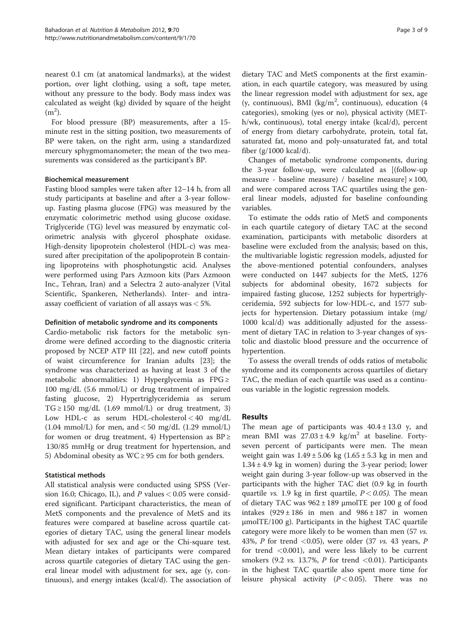nearest 0.1 cm (at anatomical landmarks), at the widest portion, over light clothing, using a soft, tape meter, without any pressure to the body. Body mass index was calculated as weight (kg) divided by square of the height  $(m<sup>2</sup>)$ .

For blood pressure (BP) measurements, after a 15 minute rest in the sitting position, two measurements of BP were taken, on the right arm, using a standardized mercury sphygmomanometer; the mean of the two measurements was considered as the participant's BP.

#### Biochemical measurement

Fasting blood samples were taken after 12–14 h, from all study participants at baseline and after a 3-year followup. Fasting plasma glucose (FPG) was measured by the enzymatic colorimetric method using glucose oxidase. Triglyceride (TG) level was measured by enzymatic colorimetric analysis with glycerol phosphate oxidase. High-density lipoprotein cholesterol (HDL-c) was measured after precipitation of the apolipoprotein B containing lipoproteins with phosphotungstic acid. Analyses were performed using Pars Azmoon kits (Pars Azmoon Inc., Tehran, Iran) and a Selectra 2 auto-analyzer (Vital Scientific, Spankeren, Netherlands). Inter- and intraassay coefficient of variation of all assays was < 5%.

# Definition of metabolic syndrome and its components

Cardio-metabolic risk factors for the metabolic syndrome were defined according to the diagnostic criteria proposed by NCEP ATP III [\[22](#page-7-0)], and new cutoff points of waist circumference for Iranian adults [\[23](#page-7-0)]; the syndrome was characterized as having at least 3 of the metabolic abnormalities: 1) Hyperglycemia as  $FPG \geq$ 100 mg/dL (5.6 mmol/L) or drug treatment of impaired fasting glucose, 2) Hypertriglyceridemia as serum  $TG \ge 150$  mg/dL (1.69 mmol/L) or drug treatment, 3) Low HDL-c as serum HDL-cholesterol  $< 40$  mg/dL  $(1.04 \text{ mmol/L})$  for men, and  $< 50 \text{ mg/dL}$   $(1.29 \text{ mmol/L})$ for women or drug treatment, 4) Hypertension as  $BP \geq$ 130/85 mmHg or drug treatment for hypertension, and 5) Abdominal obesity as  $WC \ge 95$  cm for both genders.

# Statistical methods

All statistical analysis were conducted using SPSS (Version 16.0; Chicago, IL), and  $P$  values  $< 0.05$  were considered significant. Participant characteristics, the mean of MetS components and the prevalence of MetS and its features were compared at baseline across quartile categories of dietary TAC, using the general linear models with adjusted for sex and age or the Chi-square test. Mean dietary intakes of participants were compared across quartile categories of dietary TAC using the general linear model with adjustment for sex, age (y, continuous), and energy intakes (kcal/d). The association of dietary TAC and MetS components at the first examination, in each quartile category, was measured by using the linear regression model with adjustment for sex, age (y, continuous), BMI (kg/m<sup>2</sup>, continuous), education (4 categories), smoking (yes or no), physical activity (METh/wk, continuous), total energy intake (kcal/d), percent of energy from dietary carbohydrate, protein, total fat, saturated fat, mono and poly-unsaturated fat, and total fiber (g/1000 kcal/d).

Changes of metabolic syndrome components, during the 3-year follow-up, were calculated as [(follow-up measure - baseline measure) / baseline measure $\vert \times 100$ , and were compared across TAC quartiles using the general linear models, adjusted for baseline confounding variables.

To estimate the odds ratio of MetS and components in each quartile category of dietary TAC at the second examination, participants with metabolic disorders at baseline were excluded from the analysis; based on this, the multivariable logistic regression models, adjusted for the above-mentioned potential confounders, analyses were conducted on 1447 subjects for the MetS, 1276 subjects for abdominal obesity, 1672 subjects for impaired fasting glucose, 1252 subjects for hypertriglyceridemia, 592 subjects for low-HDL-c, and 1577 subjects for hypertension. Dietary potassium intake (mg/ 1000 kcal/d) was additionally adjusted for the assessment of dietary TAC in relation to 3-year changes of systolic and diastolic blood pressure and the occurrence of hypertention.

To assess the overall trends of odds ratios of metabolic syndrome and its components across quartiles of dietary TAC, the median of each quartile was used as a continuous variable in the logistic regression models.

# Results

The mean age of participants was  $40.4 \pm 13.0$  y, and mean BMI was  $27.03 \pm 4.9$  kg/m<sup>2</sup> at baseline. Fortyseven percent of participants were men. The mean weight gain was  $1.49 \pm 5.06$  kg  $(1.65 \pm 5.3$  kg in men and  $1.34 \pm 4.9$  kg in women) during the 3-year period; lower weight gain during 3-year follow-up was observed in the participants with the higher TAC diet (0.9 kg in fourth quartile *vs.* 1.9 kg in first quartile,  $P < 0.05$ ). The mean of dietary TAC was  $962 \pm 189$  µmolTE per 100 g of food intakes  $(929 \pm 186)$  in men and  $986 \pm 187$  in women μmolTE/100 g). Participants in the highest TAC quartile category were more likely to be women than men (57 vs. 43%,  $P$  for trend <0.05), were older (37  $vs.$  43 years,  $P$ for trend <0.001), and were less likely to be current smokers (9.2 *vs.* 13.7%, *P* for trend  $\langle 0.01 \rangle$ . Participants in the highest TAC quartile also spent more time for leisure physical activity  $(P < 0.05)$ . There was no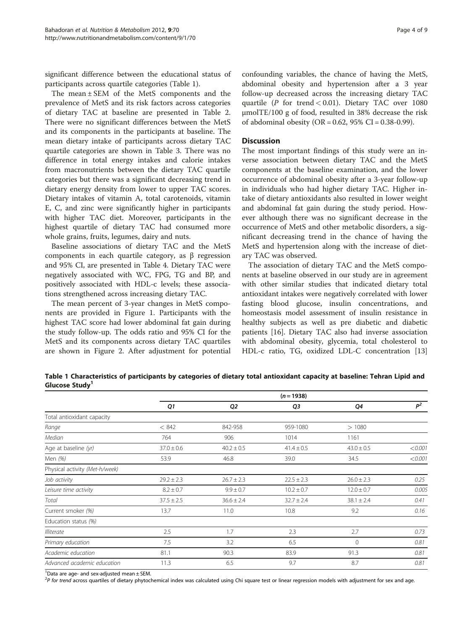significant difference between the educational status of participants across quartile categories (Table 1).

The mean ± SEM of the MetS components and the prevalence of MetS and its risk factors across categories of dietary TAC at baseline are presented in Table [2](#page-4-0). There were no significant differences between the MetS and its components in the participants at baseline. The mean dietary intake of participants across dietary TAC quartile categories are shown in Table [3.](#page-5-0) There was no difference in total energy intakes and calorie intakes from macronutrients between the dietary TAC quartile categories but there was a significant decreasing trend in dietary energy density from lower to upper TAC scores. Dietary intakes of vitamin A, total carotenoids, vitamin E, C, and zinc were significantly higher in participants with higher TAC diet. Moreover, participants in the highest quartile of dietary TAC had consumed more whole grains, fruits, legumes, dairy and nuts.

Baseline associations of dietary TAC and the MetS components in each quartile category, as β regression and 95% CI, are presented in Table [4](#page-5-0). Dietary TAC were negatively associated with WC, FPG, TG and BP, and positively associated with HDL-c levels; these associations strengthened across increasing dietary TAC.

The mean percent of 3-year changes in MetS components are provided in Figure [1](#page-6-0). Participants with the highest TAC score had lower abdominal fat gain during the study follow-up. The odds ratio and 95% CI for the MetS and its components across dietary TAC quartiles are shown in Figure [2](#page-6-0). After adjustment for potential

confounding variables, the chance of having the MetS, abdominal obesity and hypertension after a 3 year follow-up decreased across the increasing dietary TAC quartile ( $P$  for trend < 0.01). Dietary TAC over 1080 μmolTE/100 g of food, resulted in 38% decrease the risk of abdominal obesity (OR =  $0.62$ ,  $95\%$  CI =  $0.38-0.99$ ).

#### **Discussion**

The most important findings of this study were an inverse association between dietary TAC and the MetS components at the baseline examination, and the lower occurrence of abdominal obesity after a 3-year follow-up in individuals who had higher dietary TAC. Higher intake of dietary antioxidants also resulted in lower weight and abdominal fat gain during the study period. However although there was no significant decrease in the occurrence of MetS and other metabolic disorders, a significant decreasing trend in the chance of having the MetS and hypertension along with the increase of dietary TAC was observed.

The association of dietary TAC and the MetS components at baseline observed in our study are in agreement with other similar studies that indicated dietary total antioxidant intakes were negatively correlated with lower fasting blood glucose, insulin concentrations, and homeostasis model assessment of insulin resistance in healthy subjects as well as pre diabetic and diabetic patients [\[16](#page-7-0)]. Dietary TAC also had inverse association with abdominal obesity, glycemia, total cholesterol to HDL-c ratio, TG, oxidized LDL-C concentration [[13](#page-7-0)]

Table 1 Characteristics of participants by categories of dietary total antioxidant capacity at baseline: Tehran Lipid and Glucose Study<sup>1</sup>

|                                | $(n = 1938)$   |                |                |                |         |  |
|--------------------------------|----------------|----------------|----------------|----------------|---------|--|
|                                | Q1             | Q <sub>2</sub> | Q3             | Q4             | $P^2$   |  |
| Total antioxidant capacity     |                |                |                |                |         |  |
| Range                          | < 842          | 842-958        | 959-1080       | >1080          |         |  |
| Median                         | 764            | 906            | 1014           | 1161           |         |  |
| Age at baseline (yr)           | $37.0 \pm 0.6$ | $40.2 \pm 0.5$ | $41.4 \pm 0.5$ | $43.0 \pm 0.5$ | < 0.001 |  |
| Men (%)                        | 53.9           | 46.8           | 39.0           | 34.5           | < 0.001 |  |
| Physical activity (Met-h/week) |                |                |                |                |         |  |
| Job activity                   | $29.2 \pm 2.3$ | $26.7 \pm 2.3$ | $22.5 \pm 2.3$ | $26.0 \pm 2.3$ | 0.25    |  |
| Leisure time activity          | $8.2 \pm 0.7$  | $9.9 \pm 0.7$  | $10.2 \pm 0.7$ | $12.0 \pm 0.7$ | 0.005   |  |
| Total                          | $37.5 \pm 2.5$ | $36.6 \pm 2.4$ | $32.7 \pm 2.4$ | $38.1 \pm 2.4$ | 0.41    |  |
| Current smoker (%)             | 13.7           | 11.0           | 10.8           | 9.2            | 0.16    |  |
| Education status (%)           |                |                |                |                |         |  |
| Illiterate                     | 2.5            | 1.7            | 2.3            | 2.7            | 0.73    |  |
| Primary education              | 7.5            | 3.2            | 6.5            | $\Omega$       | 0.81    |  |
| Academic education             | 81.1           | 90.3           | 83.9           | 91.3           | 0.81    |  |
| Advanced academic education    | 11.3           | 6.5            | 9.7            | 8.7            | 0.81    |  |

 $1$ Data are age- and sex-adjusted mean  $\pm$  SEM.

<sup>2</sup>P for trend across quartiles of dietary phytochemical index was calculated using Chi square test or linear regression models with adjustment for sex and age.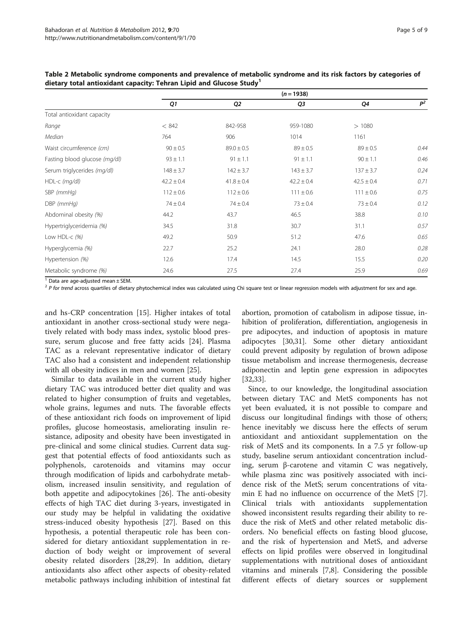|                               | $(n = 1938)$   |                |                |                |       |  |
|-------------------------------|----------------|----------------|----------------|----------------|-------|--|
|                               | Q1             | Q <sub>2</sub> | Q3             | Q4             | $P^2$ |  |
| Total antioxidant capacity    |                |                |                |                |       |  |
| Range                         | < 842          | 842-958        | 959-1080       | >1080          |       |  |
| Median                        | 764            | 906            | 1014           | 1161           |       |  |
| Waist circumference (cm)      | $90 \pm 0.5$   | $89.0 \pm 0.5$ | $89 \pm 0.5$   | $89 \pm 0.5$   | 0.44  |  |
| Fasting blood glucose (mg/dl) | $93 \pm 1.1$   | $91 \pm 1.1$   | $91 \pm 1.1$   | $90 \pm 1.1$   | 0.46  |  |
| Serum triglycerides (mg/dl)   | $148 \pm 3.7$  | $142 \pm 3.7$  | $143 \pm 3.7$  | $137 \pm 3.7$  | 0.24  |  |
| HDL-c (mg/dl)                 | $42.2 \pm 0.4$ | $41.8 \pm 0.4$ | $42.2 \pm 0.4$ | $42.5 \pm 0.4$ | 0.71  |  |
| SBP (mmHq)                    | $112 \pm 0.6$  | $112 \pm 0.6$  | $111 \pm 0.6$  | $111 \pm 0.6$  | 0.75  |  |
| DBP (mmHq)                    | $74 \pm 0.4$   | $74 \pm 0.4$   | $73 \pm 0.4$   | $73 \pm 0.4$   | 0.12  |  |
| Abdominal obesity (%)         | 44.2           | 43.7           | 46.5           | 38.8           | 0.10  |  |
| Hypertriglyceridemia (%)      | 34.5           | 31.8           | 30.7           | 31.1           | 0.57  |  |
| Low HDL-c $(%)$               | 49.2           | 50.9           | 51.2           | 47.6           | 0.65  |  |
| Hyperglycemia (%)             | 22.7           | 25.2           | 24.1           | 28.0           | 0.28  |  |
| Hypertension (%)              | 12.6           | 17.4           | 14.5           | 15.5           | 0.20  |  |
| Metabolic syndrome (%)        | 24.6           | 27.5           | 27.4           | 25.9           | 0.69  |  |

<span id="page-4-0"></span>Table 2 Metabolic syndrome components and prevalence of metabolic syndrome and its risk factors by categories of dietary total antioxidant capacity: Tehran Lipid and Glucose Study<sup>1</sup>

 $1$  Data are age-adjusted mean  $\pm$  SEM.

 $<sup>2</sup>$  P for trend across quartiles of dietary phytochemical index was calculated using Chi square test or linear regression models with adjustment for sex and age.</sup>

and hs-CRP concentration [\[15\]](#page-7-0). Higher intakes of total antioxidant in another cross-sectional study were negatively related with body mass index, systolic blood pressure, serum glucose and free fatty acids [\[24\]](#page-7-0). Plasma TAC as a relevant representative indicator of dietary TAC also had a consistent and independent relationship with all obesity indices in men and women [[25](#page-7-0)].

Similar to data available in the current study higher dietary TAC was introduced better diet quality and was related to higher consumption of fruits and vegetables, whole grains, legumes and nuts. The favorable effects of these antioxidant rich foods on improvement of lipid profiles, glucose homeostasis, ameliorating insulin resistance, adiposity and obesity have been investigated in pre-clinical and some clinical studies. Current data suggest that potential effects of food antioxidants such as polyphenols, carotenoids and vitamins may occur through modification of lipids and carbohydrate metabolism, increased insulin sensitivity, and regulation of both appetite and adipocytokines [\[26](#page-7-0)]. The anti-obesity effects of high TAC diet during 3-years, investigated in our study may be helpful in validating the oxidative stress-induced obesity hypothesis [\[27](#page-8-0)]. Based on this hypothesis, a potential therapeutic role has been considered for dietary antioxidant supplementation in reduction of body weight or improvement of several obesity related disorders [\[28,29](#page-8-0)]. In addition, dietary antioxidants also affect other aspects of obesity-related metabolic pathways including inhibition of intestinal fat

abortion, promotion of catabolism in adipose tissue, inhibition of proliferation, differentiation, angiogenesis in pre adipocytes, and induction of apoptosis in mature adipocytes [\[30,31\]](#page-8-0). Some other dietary antioxidant could prevent adiposity by regulation of brown adipose tissue metabolism and increase thermogenesis, decrease adiponectin and leptin gene expression in adipocytes [[32,33\]](#page-8-0).

Since, to our knowledge, the longitudinal association between dietary TAC and MetS components has not yet been evaluated, it is not possible to compare and discuss our longitudinal findings with those of others; hence inevitably we discuss here the effects of serum antioxidant and antioxidant supplementation on the risk of MetS and its components. In a 7.5 yr follow-up study, baseline serum antioxidant concentration including, serum β-carotene and vitamin C was negatively, while plasma zinc was positively associated with incidence risk of the MetS; serum concentrations of vitamin E had no influence on occurrence of the MetS [\[7](#page-7-0)]. Clinical trials with antioxidants supplementation showed inconsistent results regarding their ability to reduce the risk of MetS and other related metabolic disorders. No beneficial effects on fasting blood glucose, and the risk of hypertension and MetS, and adverse effects on lipid profiles were observed in longitudinal supplementations with nutritional doses of antioxidant vitamins and minerals [\[7,8](#page-7-0)]. Considering the possible different effects of dietary sources or supplement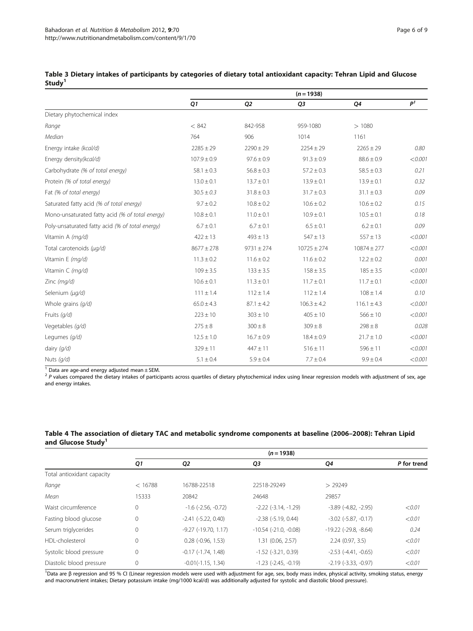|                                                 | $(n = 1938)$    |                |                 |                 |                |
|-------------------------------------------------|-----------------|----------------|-----------------|-----------------|----------------|
|                                                 | Q1              | Q <sub>2</sub> | Q3              | Q4              | P <sup>1</sup> |
| Dietary phytochemical index                     |                 |                |                 |                 |                |
| Range                                           | < 842           | 842-958        | 959-1080        | >1080           |                |
| Median                                          | 764             | 906            | 1014            | 1161            |                |
| Energy intake (kcal/d)                          | $2285 \pm 29$   | $2290 \pm 29$  | $2254 \pm 29$   | $2265 \pm 29$   | 0.80           |
| Energy density(kcal/d)                          | $107.9 \pm 0.9$ | $97.6 \pm 0.9$ | $91.3 \pm 0.9$  | $88.6 \pm 0.9$  | < 0.001        |
| Carbohydrate (% of total energy)                | $58.1 \pm 0.3$  | $56.8 \pm 0.3$ | $57.2 \pm 0.3$  | $58.5 \pm 0.3$  | 0.21           |
| Protein (% of total energy)                     | $13.0 \pm 0.1$  | $13.7 \pm 0.1$ | $13.9 \pm 0.1$  | $13.9 \pm 0.1$  | 0.32           |
| Fat (% of total energy)                         | $30.5 \pm 0.3$  | $31.8 \pm 0.3$ | $31.7 \pm 0.3$  | $31.1 \pm 0.3$  | 0.09           |
| Saturated fatty acid (% of total energy)        | $9.7 \pm 0.2$   | $10.8 \pm 0.2$ | $10.6 \pm 0.2$  | $10.6 \pm 0.2$  | 0.15           |
| Mono-unsaturated fatty acid (% of total energy) | $10.8 \pm 0.1$  | $11.0 \pm 0.1$ | $10.9 \pm 0.1$  | $10.5 \pm 0.1$  | 0.18           |
| Poly-unsaturated fatty acid (% of total energy) | $6.7 \pm 0.1$   | $6.7 \pm 0.1$  | $6.5 \pm 0.1$   | $6.2 \pm 0.1$   | 0.09           |
| Vitamin A (mg/d)                                | $422 \pm 13$    | $493 \pm 13$   | $547 \pm 13$    | $557 \pm 13$    | < 0.001        |
| Total carotenoids (µg/d)                        | $8677 \pm 278$  | $9731 \pm 274$ | $10725 \pm 274$ | $10874 \pm 277$ | < 0.001        |
| Vitamin E (mg/d)                                | $11.3 \pm 0.2$  | $11.6 \pm 0.2$ | $11.6 \pm 0.2$  | $12.2 \pm 0.2$  | 0.001          |
| Vitamin C (mg/d)                                | $109 \pm 3.5$   | $133 \pm 3.5$  | $158 \pm 3.5$   | $185 \pm 3.5$   | < 0.001        |
| Zinc (mg/d)                                     | $10.6 \pm 0.1$  | $11.3 \pm 0.1$ | $11.7 \pm 0.1$  | $11.7 \pm 0.1$  | < 0.001        |
| Selenium (µg/d)                                 | $111 \pm 1.4$   | $112 \pm 1.4$  | $112 \pm 1.4$   | $108 \pm 1.4$   | 0.10           |
| Whole grains (g/d)                              | $65.0 \pm 4.3$  | $87.1 \pm 4.2$ | $106.3 \pm 4.2$ | $116.1 \pm 4.3$ | < 0.001        |
| Fruits $(q/d)$                                  | $223 \pm 10$    | $303 \pm 10$   | $405 \pm 10$    | $566 \pm 10$    | < 0.001        |
| Vegetables (g/d)                                | $275 \pm 8$     | $300 \pm 8$    | $309 \pm 8$     | $298 \pm 8$     | 0.028          |
| Legumes (g/d)                                   | $12.5 \pm 1.0$  | $16.7 \pm 0.9$ | $18.4 \pm 0.9$  | $21.7 \pm 1.0$  | < 0.001        |
| dairy $(q/d)$                                   | $329 \pm 11$    | $447 \pm 11$   | $516 \pm 11$    | $596 \pm 11$    | < 0.001        |
| Nuts $(q/d)$                                    | $5.1 \pm 0.4$   | $5.9 \pm 0.4$  | $7.7 \pm 0.4$   | $9.9 \pm 0.4$   | < 0.001        |

<span id="page-5-0"></span>Table 3 Dietary intakes of participants by categories of dietary total antioxidant capacity: Tehran Lipid and Glucose Study<sup>1</sup>

 $1$  Data are age-and energy adjusted mean  $\pm$  SEM.

 $^2$  P values compared the dietary intakes of participants across quartiles of dietary phytochemical index using linear regression models with adjustment of sex, age and energy intakes.

|                                | Table 4 The association of dietary TAC and metabolic syndrome components at baseline (2006–2008): Tehran Lipid |  |  |
|--------------------------------|----------------------------------------------------------------------------------------------------------------|--|--|
| and Glucose Study <sup>1</sup> |                                                                                                                |  |  |

|                            | $(n = 1938)$ |                              |                               |                                |             |  |
|----------------------------|--------------|------------------------------|-------------------------------|--------------------------------|-------------|--|
|                            | Q1           | Q <sub>2</sub>               | Q3                            | Q4                             | P for trend |  |
| Total antioxidant capacity |              |                              |                               |                                |             |  |
| Range                      | < 16788      | 16788-22518                  | 22518-29249                   | > 29249                        |             |  |
| Mean                       | 15333        | 20842                        | 24648                         | 29857                          |             |  |
| Waist circumference        | 0            | $-1.6$ ( $-2.56$ , $-0.72$ ) | $-2.22$ ( $-3.14$ , $-1.29$ ) | $-3.89$ $(-4.82, -2.95)$       | < 0.01      |  |
| Fasting blood glucose      | 0            | $-2.41$ $(-5.22, 0.40)$      | $-2.38$ $(-5.19, 0.44)$       | $-3.02$ $(-5.87, -0.17)$       | < 0.01      |  |
| Serum triglycerides        | 0            | $-9.27$ $(-19.70, 1.17)$     | $-10.54$ $(-21.0, -0.08)$     | $-19.22$ ( $-29.8$ , $-8.64$ ) | 0.24        |  |
| HDI-cholesterol            | 0            | $0.28$ ( $-0.96$ , $1.53$ )  | 1.31 (0.06, 2.57)             | 2.24(0.97, 3.5)                | < 0.01      |  |
| Systolic blood pressure    | 0            | $-0.17$ $(-1.74, 1.48)$      | $-1.52$ $(-3.21, 0.39)$       | $-2.53$ $(-4.41, -0.65)$       | < 0.01      |  |
| Diastolic blood pressure   | 0            | $-0.01(-1.15, 1.34)$         | $-1.23$ ( $-2.45$ , $-0.19$ ) | $-2.19$ $(-3.33, -0.97)$       | < 0.01      |  |

1Data are β regression and 95 % CI (Linear regression models were used with adjustment for age, sex, body mass index, physical activity, smoking status, energy and macronutrient intakes; Dietary potassium intake (mg/1000 kcal/d) was additionally adjusted for systolic and diastolic blood pressure).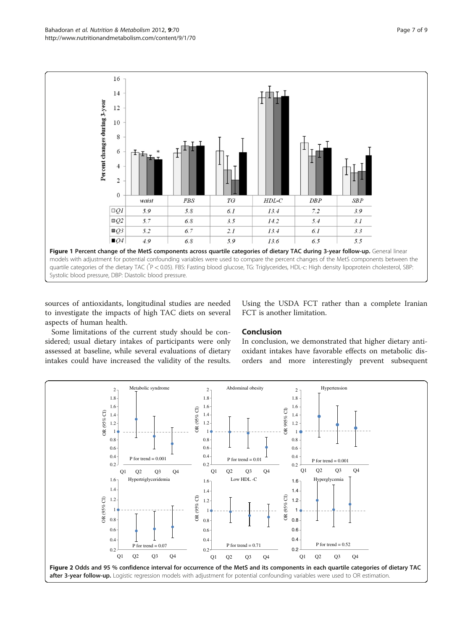<span id="page-6-0"></span>

sources of antioxidants, longitudinal studies are needed to investigate the impacts of high TAC diets on several aspects of human health.

Using the USDA FCT rather than a complete Iranian FCT is another limitation.

Some limitations of the current study should be considered; usual dietary intakes of participants were only assessed at baseline, while several evaluations of dietary intakes could have increased the validity of the results.

# Conclusion

In conclusion, we demonstrated that higher dietary antioxidant intakes have favorable effects on metabolic disorders and more interestingly prevent subsequent

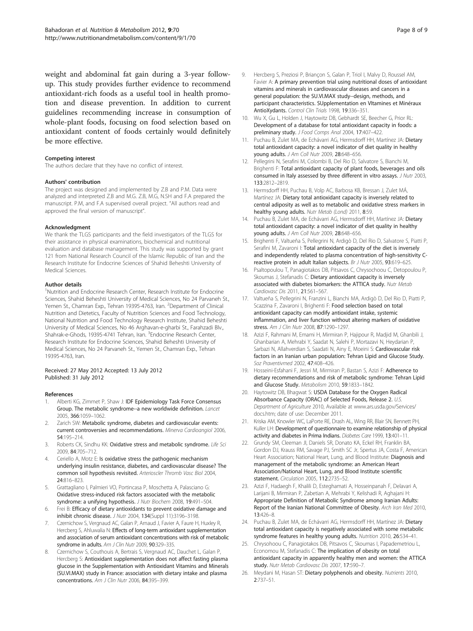<span id="page-7-0"></span>weight and abdominal fat gain during a 3-year followup. This study provides further evidence to recommend antioxidant-rich foods as a useful tool in health promotion and disease prevention. In addition to current guidelines recommending increase in consumption of whole-plant foods, focusing on food selection based on antioxidant content of foods certainly would definitely be more effective.

#### Competing interest

The authors declare that they have no conflict of interest.

#### Authors' contribution

The project was designed and implemented by Z.B and P.M. Data were analyzed and interpreted Z.B and M.G. Z.B, M.G, N.SH and F.A prepared the manuscript. P.M, and F.A supervised overall project. "All authors read and approved the final version of manuscript".

#### Acknowledgment

We thank the TLGS participants and the field investigators of the TLGS for their assistance in physical examinations, biochemical and nutritional evaluation and database management. This study was supported by grant 121 from National Research Council of the Islamic Republic of Iran and the Research Institute for Endocrine Sciences of Shahid Beheshti University of Medical Sciences.

#### Author details

<sup>1</sup>Nutrition and Endocrine Research Center, Research Institute for Endocrine Sciences, Shahid Beheshti University of Medical Sciences, No 24 Parvaneh St., Yemen St., Chamran Exp., Tehran 19395-4763, Iran. <sup>2</sup>Department of Clinical Nutrition and Dietetics, Faculty of Nutrition Sciences and Food Technology, National Nutrition and Food Technology Research Institute, Shahid Beheshti University of Medical Sciences, No 46 Arghavan-e-gharbi St., Farahzadi Blv., Shahrak-e-Ghods, 19395-4741 Tehran, Iran. <sup>3</sup>Endocrine Research Center, Research Institute for Endocrine Sciences, Shahid Beheshti University of Medical Sciences, No 24 Parvaneh St., Yemen St., Chamran Exp., Tehran 19395-4763, Iran.

#### Received: 27 May 2012 Accepted: 13 July 2012 Published: 31 July 2012

#### References

- Alberti KG, Zimmet P, Shaw J: IDF Epidemiology Task Force Consensus Group. The metabolic syndrome--a new worldwide definition. Lancet 2005, 366:1059–1062.
- Zarich SW: Metabolic syndrome, diabetes and cardiovascular events: current controversies and recommendations. Minerva Cardioangiol 2006, 54:195–214.
- 3. Roberts CK, Sindhu KK: Oxidative stress and metabolic syndrome. Life Sci 2009, 84:705–712.
- Ceriello A, Motz E: Is oxidative stress the pathogenic mechanism underlying insulin resistance, diabetes, and cardiovascular disease? The common soil hypothesis revisited. Arterioscler Thromb Vasc Biol 2004, 24:816–823.
- 5. Grattagliano I, Palmieri VO, Portincasa P, Moschetta A, Palasciano G: Oxidative stress-induced risk factors associated with the metabolic syndrome: a unifying hypothesis. J Nutr Biochem 2008, 19:491-504.
- Frei B: Efficacy of dietary antioxidants to prevent oxidative damage and inhibit chronic disease. J Nutr 2004, 134(Suppl 11):3196–3198.
- 7. Czernichow S, Vergnaud AC, Galan P, Arnaud J, Favier A, Faure H, Huxley R, Hercberg S, Ahluwalia N: Effects of long-term antioxidant supplementation and association of serum antioxidant concentrations with risk of metabolic syndrome in adults. Am J Clin Nutr 2009, 90:329-335.
- Czernichow S, Couthouis A, Bertrais S, Vergnaud AC, Dauchet L, Galan P, Hercberg S: Antioxidant supplementation does not affect fasting plasma glucose in the Supplementation with Antioxidant Vitamins and Minerals (SU.VI.MAX) study in France: association with dietary intake and plasma concentrations. Am J Clin Nutr 2006, 84:395–399.
- 9. Hercberg S, Preziosi P, Briançon S, Galan P, Triol I, Malvy D, Roussel AM, Favier A: A primary prevention trial using nutritional doses of antioxidant vitamins and minerals in cardiovascular diseases and cancers in a general population: the SU.VI.MAX study--design, methods, and participant characteristics. SUpplementation en VItamines et Minéraux AntioXydants. Control Clin Trials 1998, 19:336–351.
- 10. Wu X, Gu L, Holden J, Haytowitz DB, Gebhardt SE, Beecher G, Prior RL: Development of a database for total antioxidant capacity in foods: a preliminary study. J Food Comps Anal 2004, 17:407-422.
- 11. Puchau B, Zulet MA, de Echávarri AG, Hermsdorff HH, Martínez JA: Dietary total antioxidant capacity: a novel indicator of diet quality in healthy young adults. J Am Coll Nutr 2009, 28:648–656.
- 12. Pellegrini N, Serafini M, Colombi B, Del Rio D, Salvatore S, Bianchi M, Brighenti F: Total antioxidant capacity of plant foods, beverages and oils consumed in Italy assessed by three different in vitro assays. J Nutr 2003, 133:2812–2819.
- 13. Hermsdorff HH, Puchau B, Volp AC, Barbosa KB, Bressan J, Zulet MÁ, Martínez JA: Dietary total antioxidant capacity is inversely related to central adiposity as well as to metabolic and oxidative stress markers in healthy young adults. Nutr Metab (Lond) 2011, 8:59.
- 14. Puchau B, Zulet MA, de Echávarri AG, Hermsdorff HH, Martínez JA: Dietary total antioxidant capacity: a novel indicator of diet quality in healthy young adults. J Am Coll Nutr 2009, 28:648–656.
- 15. Brighenti F, Valtueña S, Pellegrini N, Ardigò D, Del Rio D, Salvatore S, Piatti P, Serafini M, Zavaroni I: Total antioxidant capacity of the diet is inversely and independently related to plasma concentration of high-sensitivity Creactive protein in adult Italian subjects. Br J Nutr 2005, 93:619–625.
- 16. Psaltopoulou T, Panagiotakos DB, Pitsavos C, Chrysochoou C, Detopoulou P, Skoumas J, Stefanadis C: Dietary antioxidant capacity is inversely associated with diabetes biomarkers: the ATTICA study. Nutr Metab Cardiovasc Dis 2011, 21:561–567.
- 17. Valtueña S, Pellegrini N, Franzini L, Bianchi MA, Ardigò D, Del Rio D, Piatti P, Scazzina F, Zavaroni I, Brighenti F: Food selection based on total antioxidant capacity can modify antioxidant intake, systemic inflammation, and liver function without altering markers of oxidative stress. Am J Clin Nutr 2008, 87:1290–1297.
- 18. Azizi F, Rahmani M, Emami H, Mirmiran P, Hajipour R, Madjid M, Ghanbili J, Ghanbarian A, Mehrabi Y, Saadat N, Salehi P, Mortazavi N, Heydarian P, Sarbazi N, Allahverdian S, Saadati N, Ainy E, Moeini S: Cardiovascular risk factors in an Iranian urban population: Tehran Lipid and Glucose Study. Soz Praventivmed 2002, 47:408–426.
- 19. Hosseini-Esfahani F, Jessri M, Mirmiran P, Bastan S, Azizi F: Adherence to dietary recommendations and risk of metabolic syndrome: Tehran Lipid and Glucose Study. Metabolism 2010, 59:1833–1842.
- 20. Haytowitz DB, Bhagwat S: USDA Database for the Oxygen Radical Absorbance Capacity (ORAC) of Selected Foods, Release 2. U.S. Department of Agriculture 2010, Available at [www.ars.usda.gov/Services/](www.ars.usda.gov/Services/docs.htm) [docs.htm;](www.ars.usda.gov/Services/docs.htm) date of use: December 2011.
- 21. Kriska AM, Knowler WC, LaPorte RE, Drash AL, Wing RR, Blair SN, Bennett PH, Kuller LH: Development of questionnaire to examine relationship of physical activity and diabetes in Prima Indians. Diabetes Care 1999, 13:401–11.
- 22. Grundy SM, Cleeman JI, Daniels SR, Donato KA, Eckel RH, Franklin BA, Gordon DJ, Krauss RM, Savage PJ, Smith SC Jr, Spertus JA, Costa F, American Heart Association; National Heart, Lung, and Blood Institute: Diagnosis and management of the metabolic syndrome: an American Heart Association/National Heart, Lung, and Blood Institute scientific statement. Circulation 2005, 112:2735–52.
- 23. Azizi F, Hadaegh F, Khalili D, Esteghamati A, Hosseinpanah F, Delavari A, Larijani B, Mirmiran P, Zabetian A, Mehrabi Y, Kelishadi R, Aghajani H: Appropriate Definition of Metabolic Syndrome among Iranian Adults: Report of the Iranian National Committee of Obesity. Arch Iran Med 2010, 13:426–8.
- 24. Puchau B, Zulet MA, de Echávarri AG, Hermsdorff HH, Martínez JA: Dietary total antioxidant capacity is negatively associated with some metabolic syndrome features in healthy young adults. Nutrition 2010, 26:534-41.
- 25. Chrysohoou C, Panagiotakos DB, Pitsavos C, Skoumas I, Papademetriou L, Economou M, Stefanadis C: The implication of obesity on total antioxidant capacity in apparently healthy men and women: the ATTICA study. Nutr Metab Cardiovasc Dis 2007, 17:590–7.
- 26. Meydani M, Hasan ST: Dietary polyphenols and obesity. Nutrients 2010, 2:737–51.